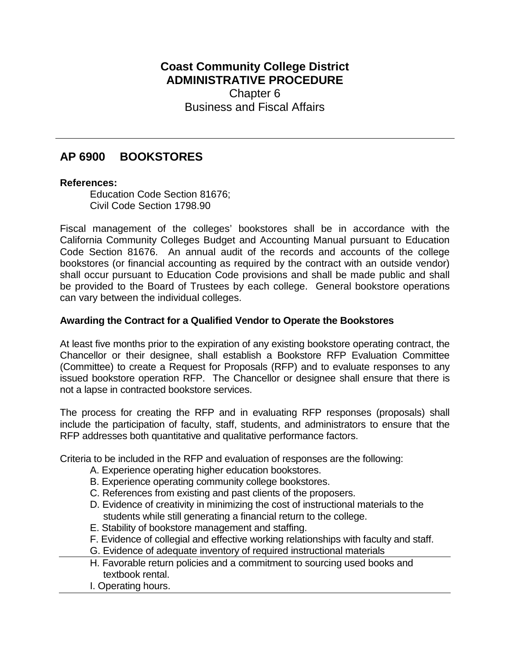## **Coast Community College District ADMINISTRATIVE PROCEDURE** Chapter 6 Business and Fiscal Affairs

# **AP 6900 BOOKSTORES**

#### **References:**

Education Code Section 81676; Civil Code Section 1798.90

Fiscal management of the colleges' bookstores shall be in accordance with the California Community Colleges Budget and Accounting Manual pursuant to Education Code Section 81676. An annual audit of the records and accounts of the college bookstores (or financial accounting as required by the contract with an outside vendor) shall occur pursuant to Education Code provisions and shall be made public and shall be provided to the Board of Trustees by each college. General bookstore operations can vary between the individual colleges.

### **Awarding the Contract for a Qualified Vendor to Operate the Bookstores**

At least five months prior to the expiration of any existing bookstore operating contract, the Chancellor or their designee, shall establish a Bookstore RFP Evaluation Committee (Committee) to create a Request for Proposals (RFP) and to evaluate responses to any issued bookstore operation RFP. The Chancellor or designee shall ensure that there is not a lapse in contracted bookstore services.

The process for creating the RFP and in evaluating RFP responses (proposals) shall include the participation of faculty, staff, students, and administrators to ensure that the RFP addresses both quantitative and qualitative performance factors.

Criteria to be included in the RFP and evaluation of responses are the following:

- A. Experience operating higher education bookstores.
- B. Experience operating community college bookstores.
- C. References from existing and past clients of the proposers.
- D. Evidence of creativity in minimizing the cost of instructional materials to the students while still generating a financial return to the college.
- E. Stability of bookstore management and staffing.
- F. Evidence of collegial and effective working relationships with faculty and staff.
- G. Evidence of adequate inventory of required instructional materials
- H. Favorable return policies and a commitment to sourcing used books and textbook rental.
- I. Operating hours.